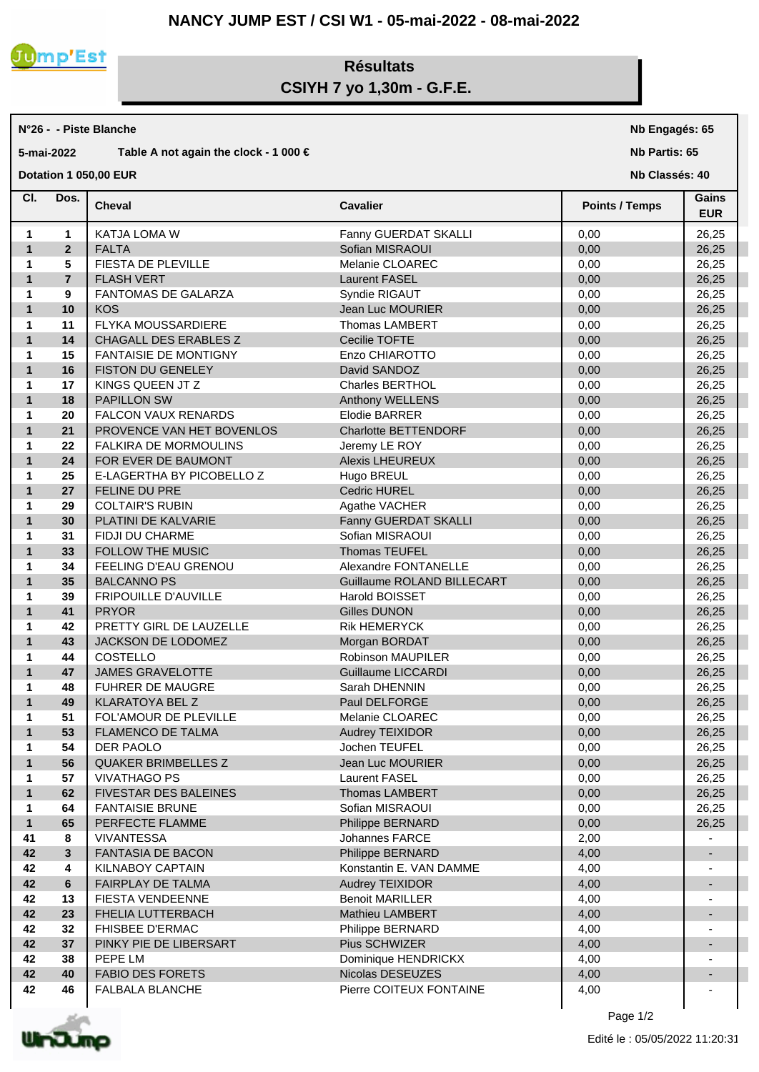

## **Résultats CSIYH 7 yo 1,30m - G.F.E.**

## **N°26 - - Piste Blanche**

## **5-mai-2022 Table A not again the clock - 1 000 €**

**Dotation 1 050,00 EUR** 

**Nb Engagés: 65**

**Nb Partis: 65**

**Nb Classés: 40** 

| CI.          | Dos.           | <b>Cheval</b>                | <b>Cavalier</b>             | <b>Points / Temps</b> | Gains<br><b>EUR</b> |
|--------------|----------------|------------------------------|-----------------------------|-----------------------|---------------------|
| 1            | 1              | <b>KATJA LOMA W</b>          | Fanny GUERDAT SKALLI        | 0,00                  | 26,25               |
| $\mathbf{1}$ | $\overline{2}$ | <b>FALTA</b>                 | Sofian MISRAOUI             | 0,00                  | 26,25               |
| 1            | 5              | FIESTA DE PLEVILLE           | Melanie CLOAREC             | 0,00                  | 26,25               |
| $\mathbf{1}$ | $\overline{7}$ | <b>FLASH VERT</b>            | <b>Laurent FASEL</b>        | 0,00                  | 26,25               |
| $\mathbf 1$  | 9              | FANTOMAS DE GALARZA          | Syndie RIGAUT               | 0,00                  | 26,25               |
| $\mathbf{1}$ | 10             | <b>KOS</b>                   | Jean Luc MOURIER            | 0,00                  | 26,25               |
| $\mathbf{1}$ | 11             | FLYKA MOUSSARDIERE           | <b>Thomas LAMBERT</b>       | 0,00                  | 26,25               |
| $\mathbf{1}$ | 14             | CHAGALL DES ERABLES Z        | Cecilie TOFTE               | 0,00                  | 26,25               |
| $\mathbf{1}$ | 15             | <b>FANTAISIE DE MONTIGNY</b> | Enzo CHIAROTTO              | 0,00                  | 26,25               |
| $\mathbf{1}$ | 16             | <b>FISTON DU GENELEY</b>     | David SANDOZ                | 0,00                  | 26,25               |
| $\mathbf 1$  | 17             | KINGS QUEEN JT Z             | <b>Charles BERTHOL</b>      | 0,00                  | 26,25               |
| $\mathbf{1}$ | 18             | <b>PAPILLON SW</b>           | Anthony WELLENS             | 0,00                  | 26,25               |
| $\mathbf{1}$ | 20             | <b>FALCON VAUX RENARDS</b>   | <b>Elodie BARRER</b>        | 0,00                  | 26,25               |
| $\mathbf{1}$ | 21             | PROVENCE VAN HET BOVENLOS    | <b>Charlotte BETTENDORF</b> | 0,00                  | 26,25               |
| $\mathbf{1}$ | 22             | FALKIRA DE MORMOULINS        | Jeremy LE ROY               | 0,00                  | 26,25               |
| $\mathbf{1}$ | 24             | FOR EVER DE BAUMONT          | <b>Alexis LHEUREUX</b>      | 0,00                  | 26,25               |
| 1            | 25             | E-LAGERTHA BY PICOBELLO Z    | Hugo BREUL                  | 0,00                  | 26,25               |
| $\mathbf{1}$ | 27             | FELINE DU PRE                | <b>Cedric HUREL</b>         | 0,00                  | 26,25               |
| 1            | 29             | <b>COLTAIR'S RUBIN</b>       | Agathe VACHER               | 0,00                  | 26,25               |
| $\mathbf{1}$ | 30             | PLATINI DE KALVARIE          | Fanny GUERDAT SKALLI        | 0,00                  | 26,25               |
| 1            | 31             | FIDJI DU CHARME              | Sofian MISRAOUI             | 0,00                  | 26,25               |
| $\mathbf{1}$ | 33             | FOLLOW THE MUSIC             | <b>Thomas TEUFEL</b>        | 0,00                  | 26,25               |
| 1            | 34             | FEELING D'EAU GRENOU         | Alexandre FONTANELLE        | 0,00                  | 26,25               |
| $\mathbf{1}$ | 35             | <b>BALCANNO PS</b>           | Guillaume ROLAND BILLECART  | 0,00                  | 26,25               |
| 1            | 39             | FRIPOUILLE D'AUVILLE         | Harold BOISSET              | 0,00                  | 26,25               |
| $\mathbf{1}$ | 41             | <b>PRYOR</b>                 | <b>Gilles DUNON</b>         | 0,00                  | 26,25               |
| 1            | 42             | PRETTY GIRL DE LAUZELLE      | <b>Rik HEMERYCK</b>         | 0,00                  | 26,25               |
| $\mathbf{1}$ | 43             | JACKSON DE LODOMEZ           | Morgan BORDAT               | 0,00                  | 26,25               |
| 1            | 44             | COSTELLO                     | <b>Robinson MAUPILER</b>    | 0,00                  | 26,25               |
| $\mathbf{1}$ | 47             | <b>JAMES GRAVELOTTE</b>      | <b>Guillaume LICCARDI</b>   | 0,00                  | 26,25               |
| 1            | 48             | <b>FUHRER DE MAUGRE</b>      | Sarah DHENNIN               | 0,00                  | 26,25               |
| $\mathbf{1}$ | 49             | <b>KLARATOYA BEL Z</b>       | Paul DELFORGE               | 0,00                  | 26,25               |
| 1            | 51             | FOL'AMOUR DE PLEVILLE        | Melanie CLOAREC             | 0,00                  | 26,25               |
| $\mathbf{1}$ | 53             | FLAMENCO DE TALMA            | Audrey TEIXIDOR             | 0,00                  | 26,25               |
| 1            | 54             | DER PAOLO                    | Jochen TEUFEL               | 0,00                  | 26,25               |
| 1            | 56             | <b>QUAKER BRIMBELLES Z</b>   | Jean Luc MOURIER            | 0,00                  | 26,25               |
| 1            | 57             | <b>VIVATHAGO PS</b>          | <b>Laurent FASEL</b>        | 0,00                  | 26,25               |
| $\mathbf{1}$ | 62             | FIVESTAR DES BALEINES        | Thomas LAMBERT              | 0,00                  | 26,25               |
| $\mathbf{1}$ | 64             | <b>FANTAISIE BRUNE</b>       | Sofian MISRAOUI             | 0,00                  | 26,25               |
| $\mathbf{1}$ | 65             | PERFECTE FLAMME              | Philippe BERNARD            | 0,00                  | 26,25               |
| 41           | 8              | <b>VIVANTESSA</b>            | Johannes FARCE              | 2,00                  |                     |
| 42           | 3              | FANTASIA DE BACON            | Philippe BERNARD            | 4,00                  |                     |
| 42           | 4              | KILNABOY CAPTAIN             | Konstantin E. VAN DAMME     | 4,00                  |                     |
| 42           | 6              | FAIRPLAY DE TALMA            | <b>Audrey TEIXIDOR</b>      | 4,00                  |                     |
| 42           | 13             | FIESTA VENDEENNE             | <b>Benoit MARILLER</b>      | 4,00                  |                     |
| 42           | 23             | FHELIA LUTTERBACH            | Mathieu LAMBERT             | 4,00                  |                     |
| 42           | 32             | <b>FHISBEE D'ERMAC</b>       | Philippe BERNARD            | 4,00                  |                     |
| 42           | 37             | PINKY PIE DE LIBERSART       | Pius SCHWIZER               | 4,00                  |                     |
| 42           | 38             | PEPE LM                      | Dominique HENDRICKX         | 4,00                  |                     |
| 42           | 40             | <b>FABIO DES FORETS</b>      | Nicolas DESEUZES            | 4,00                  |                     |
| 42           | 46             | FALBALA BLANCHE              | Pierre COITEUX FONTAINE     | 4,00                  |                     |
|              |                |                              |                             |                       |                     |



Page 1/2